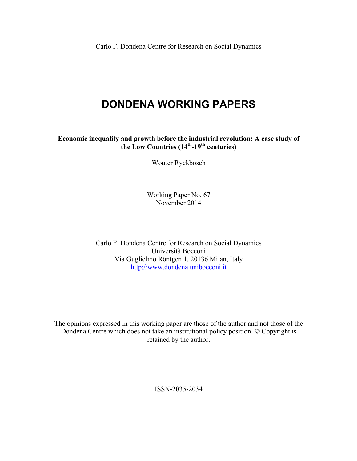Carlo F. Dondena Centre for Research on Social Dynamics

# **DONDENA WORKING PAPERS**

**Economic inequality and growth before the industrial revolution: A case study of the Low Countries (14th-19th centuries)**

Wouter Ryckbosch

Working Paper No. 67 November 2014

Carlo F. Dondena Centre for Research on Social Dynamics Università Bocconi Via Guglielmo Röntgen 1, 20136 Milan, Italy http://www.dondena.unibocconi.it

The opinions expressed in this working paper are those of the author and not those of the Dondena Centre which does not take an institutional policy position. © Copyright is retained by the author.

ISSN-2035-2034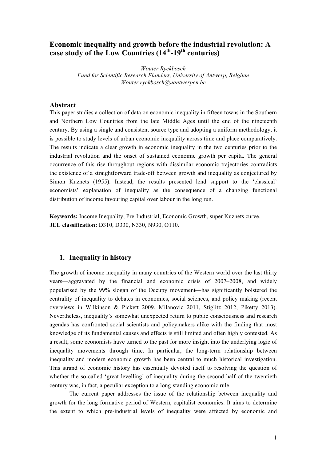# **Economic inequality and growth before the industrial revolution: A case study of the Low Countries (14th-19th centuries)**

*Wouter Ryckbosch Fund for Scientific Research Flanders, University of Antwerp, Belgium Wouter.ryckbosch@uantwerpen.be*

#### **Abstract**

This paper studies a collection of data on economic inequality in fifteen towns in the Southern and Northern Low Countries from the late Middle Ages until the end of the nineteenth century. By using a single and consistent source type and adopting a uniform methodology, it is possible to study levels of urban economic inequality across time and place comparatively. The results indicate a clear growth in economic inequality in the two centuries prior to the industrial revolution and the onset of sustained economic growth per capita. The general occurrence of this rise throughout regions with dissimilar economic trajectories contradicts the existence of a straightforward trade-off between growth and inequality as conjectured by Simon Kuznets (1955). Instead, the results presented lend support to the 'classical' economists' explanation of inequality as the consequence of a changing functional distribution of income favouring capital over labour in the long run.

**Keywords:** Income Inequality, Pre-Industrial, Economic Growth, super Kuznets curve. **JEL classification:** D310, D330, N330, N930, O110.

#### **1. Inequality in history**

The growth of income inequality in many countries of the Western world over the last thirty years—aggravated by the financial and economic crisis of 2007–2008, and widely popularised by the 99% slogan of the Occupy movement—has significantly bolstered the centrality of inequality to debates in economics, social sciences, and policy making (recent overviews in Wilkinson & Pickett 2009, Milanovic 2011, Stiglitz 2012, Piketty 2013). Nevertheless, inequality's somewhat unexpected return to public consciousness and research agendas has confronted social scientists and policymakers alike with the finding that most knowledge of its fundamental causes and effects is still limited and often highly contested. As a result, some economists have turned to the past for more insight into the underlying logic of inequality movements through time. In particular, the long-term relationship between inequality and modern economic growth has been central to much historical investigation. This strand of economic history has essentially devoted itself to resolving the question of whether the so-called 'great levelling' of inequality during the second half of the twentieth century was, in fact, a peculiar exception to a long-standing economic rule.

The current paper addresses the issue of the relationship between inequality and growth for the long formative period of Western, capitalist economies. It aims to determine the extent to which pre-industrial levels of inequality were affected by economic and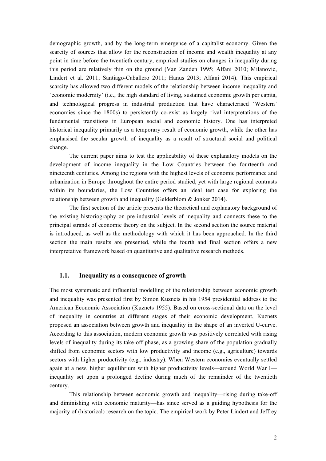demographic growth, and by the long-term emergence of a capitalist economy. Given the scarcity of sources that allow for the reconstruction of income and wealth inequality at any point in time before the twentieth century, empirical studies on changes in inequality during this period are relatively thin on the ground (Van Zanden 1995; Alfani 2010; Milanovic, Lindert et al. 2011; Santiago-Caballero 2011; Hanus 2013; Alfani 2014). This empirical scarcity has allowed two different models of the relationship between income inequality and 'economic modernity' (i.e., the high standard of living, sustained economic growth per capita, and technological progress in industrial production that have characterised 'Western' economies since the 1800s) to persistently co-exist as largely rival interpretations of the fundamental transitions in European social and economic history. One has interpreted historical inequality primarily as a temporary result of economic growth, while the other has emphasised the secular growth of inequality as a result of structural social and political change.

The current paper aims to test the applicability of these explanatory models on the development of income inequality in the Low Countries between the fourteenth and nineteenth centuries. Among the regions with the highest levels of economic performance and urbanization in Europe throughout the entire period studied, yet with large regional contrasts within its boundaries, the Low Countries offers an ideal test case for exploring the relationship between growth and inequality (Gelderblom & Jonker 2014).

The first section of the article presents the theoretical and explanatory background of the existing historiography on pre-industrial levels of inequality and connects these to the principal strands of economic theory on the subject. In the second section the source material is introduced, as well as the methodology with which it has been approached. In the third section the main results are presented, while the fourth and final section offers a new interpretative framework based on quantitative and qualitative research methods.

#### **1.1. Inequality as a consequence of growth**

The most systematic and influential modelling of the relationship between economic growth and inequality was presented first by Simon Kuznets in his 1954 presidential address to the American Economic Association (Kuznets 1955). Based on cross-sectional data on the level of inequality in countries at different stages of their economic development, Kuznets proposed an association between growth and inequality in the shape of an inverted U-curve. According to this association, modern economic growth was positively correlated with rising levels of inequality during its take-off phase, as a growing share of the population gradually shifted from economic sectors with low productivity and income (e.g., agriculture) towards sectors with higher productivity (e.g., industry). When Western economies eventually settled again at a new, higher equilibrium with higher productivity levels—around World War I inequality set upon a prolonged decline during much of the remainder of the twentieth century.

This relationship between economic growth and inequality—rising during take-off and diminishing with economic maturity—has since served as a guiding hypothesis for the majority of (historical) research on the topic. The empirical work by Peter Lindert and Jeffrey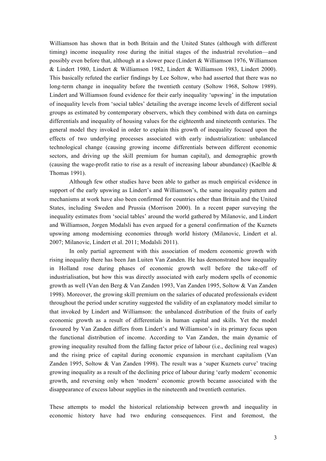Williamson has shown that in both Britain and the United States (although with different timing) income inequality rose during the initial stages of the industrial revolution—and possibly even before that, although at a slower pace (Lindert & Williamson 1976, Williamson & Lindert 1980, Lindert & Williamson 1982, Lindert & Williamson 1983, Lindert 2000). This basically refuted the earlier findings by Lee Soltow, who had asserted that there was no long-term change in inequality before the twentieth century (Soltow 1968, Soltow 1989). Lindert and Williamson found evidence for their early inequality 'upswing' in the imputation of inequality levels from 'social tables' detailing the average income levels of different social groups as estimated by contemporary observers, which they combined with data on earnings differentials and inequality of housing values for the eighteenth and nineteenth centuries. The general model they invoked in order to explain this growth of inequality focused upon the effects of two underlying processes associated with early industrialization: unbalanced technological change (causing growing income differentials between different economic sectors, and driving up the skill premium for human capital), and demographic growth (causing the wage-profit ratio to rise as a result of increasing labour abundance) (Kaelble & Thomas 1991).

Although few other studies have been able to gather as much empirical evidence in support of the early upswing as Lindert's and Williamson's, the same inequality pattern and mechanisms at work have also been confirmed for countries other than Britain and the United States, including Sweden and Prussia (Morrison 2000). In a recent paper surveying the inequality estimates from 'social tables' around the world gathered by Milanovic, and Lindert and Williamson, Jorgen Modalsli has even argued for a general confirmation of the Kuznets upswing among modernising economies through world history (Milanovic, Lindert et al. 2007; Milanovic, Lindert et al. 2011; Modalsli 2011).

In only partial agreement with this association of modern economic growth with rising inequality there has been Jan Luiten Van Zanden. He has demonstrated how inequality in Holland rose during phases of economic growth well before the take-off of industrialisation, but how this was directly associated with early modern spells of economic growth as well (Van den Berg & Van Zanden 1993, Van Zanden 1995, Soltow & Van Zanden 1998). Moreover, the growing skill premium on the salaries of educated professionals evident throughout the period under scrutiny suggested the validity of an explanatory model similar to that invoked by Lindert and Williamson: the unbalanced distribution of the fruits of early economic growth as a result of differentials in human capital and skills. Yet the model favoured by Van Zanden differs from Lindert's and Williamson's in its primary focus upon the functional distribution of income. According to Van Zanden, the main dynamic of growing inequality resulted from the falling factor price of labour (i.e., declining real wages) and the rising price of capital during economic expansion in merchant capitalism (Van Zanden 1995, Soltow & Van Zanden 1998). The result was a 'super Kuznets curve' tracing growing inequality as a result of the declining price of labour during 'early modern' economic growth, and reversing only when 'modern' economic growth became associated with the disappearance of excess labour supplies in the nineteenth and twentieth centuries.

These attempts to model the historical relationship between growth and inequality in economic history have had two enduring consequences. First and foremost, the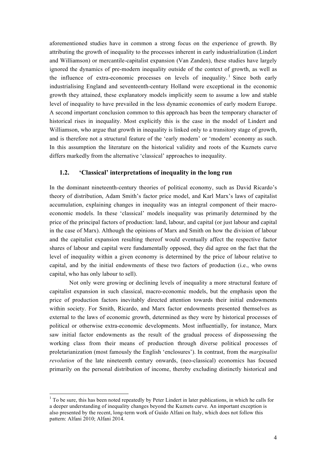aforementioned studies have in common a strong focus on the experience of growth. By attributing the growth of inequality to the processes inherent in early industrialization (Lindert and Williamson) or mercantile-capitalist expansion (Van Zanden), these studies have largely ignored the dynamics of pre-modern inequality outside of the context of growth, as well as the influence of extra-economic processes on levels of inequality.<sup>1</sup> Since both early industrialising England and seventeenth-century Holland were exceptional in the economic growth they attained, these explanatory models implicitly seem to assume a low and stable level of inequality to have prevailed in the less dynamic economies of early modern Europe. A second important conclusion common to this approach has been the temporary character of historical rises in inequality. Most explicitly this is the case in the model of Lindert and Williamson, who argue that growth in inequality is linked only to a transitory stage of growth, and is therefore not a structural feature of the 'early modern' or 'modern' economy as such. In this assumption the literature on the historical validity and roots of the Kuznets curve differs markedly from the alternative 'classical' approaches to inequality.

#### **1.2. 'Classical' interpretations of inequality in the long run**

In the dominant nineteenth-century theories of political economy, such as David Ricardo's theory of distribution, Adam Smith's factor price model, and Karl Marx's laws of capitalist accumulation, explaining changes in inequality was an integral component of their macroeconomic models. In these 'classical' models inequality was primarily determined by the price of the principal factors of production: land, labour, and capital (or just labour and capital in the case of Marx). Although the opinions of Marx and Smith on how the division of labour and the capitalist expansion resulting thereof would eventually affect the respective factor shares of labour and capital were fundamentally opposed, they did agree on the fact that the level of inequality within a given economy is determined by the price of labour relative to capital, and by the initial endowments of these two factors of production (i.e., who owns capital, who has only labour to sell).

Not only were growing or declining levels of inequality a more structural feature of capitalist expansion in such classical, macro-economic models, but the emphasis upon the price of production factors inevitably directed attention towards their initial endowments within society. For Smith, Ricardo, and Marx factor endowments presented themselves as external to the laws of economic growth, determined as they were by historical processes of political or otherwise extra-economic developments. Most influentially, for instance, Marx saw initial factor endowments as the result of the gradual process of dispossessing the working class from their means of production through diverse political processes of proletarianization (most famously the English 'enclosures'). In contrast, from the *marginalist revolution* of the late nineteenth century onwards, (neo-classical) economics has focused primarily on the personal distribution of income, thereby excluding distinctly historical and

<sup>&</sup>lt;sup>1</sup> To be sure, this has been noted repeatedly by Peter Lindert in later publications, in which he calls for a deeper understanding of inequality changes beyond the Kuznets curve. An important exception is also presented by the recent, long-term work of Guido Alfani on Italy, which does not follow this pattern: Alfani 2010; Alfani 2014.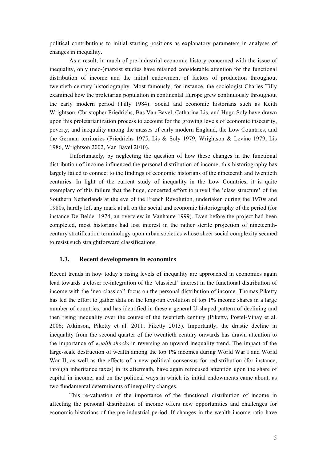political contributions to initial starting positions as explanatory parameters in analyses of changes in inequality.

As a result, in much of pre-industrial economic history concerned with the issue of inequality, only (neo-)marxist studies have retained considerable attention for the functional distribution of income and the initial endowment of factors of production throughout twentieth-century historiography. Most famously, for instance, the sociologist Charles Tilly examined how the proletarian population in continental Europe grew continuously throughout the early modern period (Tilly 1984). Social and economic historians such as Keith Wrightson, Christopher Friedrichs, Bas Van Bavel, Catharina Lis, and Hugo Soly have drawn upon this proletarianization process to account for the growing levels of economic insecurity, poverty, and inequality among the masses of early modern England, the Low Countries, and the German territories (Friedrichs 1975, Lis & Soly 1979, Wrightson & Levine 1979, Lis 1986, Wrightson 2002, Van Bavel 2010).

Unfortunately, by neglecting the question of how these changes in the functional distribution of income influenced the personal distribution of income, this historiography has largely failed to connect to the findings of economic historians of the nineteenth and twentieth centuries. In light of the current study of inequality in the Low Countries, it is quite exemplary of this failure that the huge, concerted effort to unveil the 'class structure' of the Southern Netherlands at the eve of the French Revolution, undertaken during the 1970s and 1980s, hardly left any mark at all on the social and economic historiography of the period (for instance De Belder 1974, an overview in Vanhaute 1999). Even before the project had been completed, most historians had lost interest in the rather sterile projection of nineteenthcentury stratification terminology upon urban societies whose sheer social complexity seemed to resist such straightforward classifications.

#### **1.3. Recent developments in economics**

Recent trends in how today's rising levels of inequality are approached in economics again lead towards a closer re-integration of the 'classical' interest in the functional distribution of income with the 'neo-classical' focus on the personal distribution of income. Thomas Piketty has led the effort to gather data on the long-run evolution of top 1% income shares in a large number of countries, and has identified in these a general U-shaped pattern of declining and then rising inequality over the course of the twentieth century (Piketty, Postel-Vinay et al. 2006; Atkinson, Piketty et al. 2011; Piketty 2013). Importantly, the drastic decline in inequality from the second quarter of the twentieth century onwards has drawn attention to the importance of *wealth shocks* in reversing an upward inequality trend. The impact of the large-scale destruction of wealth among the top 1% incomes during World War I and World War II, as well as the effects of a new political consensus for redistribution (for instance, through inheritance taxes) in its aftermath, have again refocused attention upon the share of capital in income, and on the political ways in which its initial endowments came about, as two fundamental determinants of inequality changes.

This re-valuation of the importance of the functional distribution of income in affecting the personal distribution of income offers new opportunities and challenges for economic historians of the pre-industrial period. If changes in the wealth-income ratio have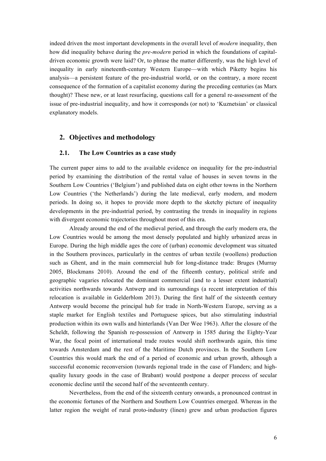indeed driven the most important developments in the overall level of *modern* inequality, then how did inequality behave during the *pre-modern* period in which the foundations of capitaldriven economic growth were laid? Or, to phrase the matter differently, was the high level of inequality in early nineteenth-century Western Europe—with which Piketty begins his analysis—a persistent feature of the pre-industrial world, or on the contrary, a more recent consequence of the formation of a capitalist economy during the preceding centuries (as Marx thought)? These new, or at least resurfacing, questions call for a general re-assessment of the issue of pre-industrial inequality, and how it corresponds (or not) to 'Kuznetsian' or classical explanatory models.

## **2. Objectives and methodology**

# **2.1. The Low Countries as a case study**

The current paper aims to add to the available evidence on inequality for the pre-industrial period by examining the distribution of the rental value of houses in seven towns in the Southern Low Countries ('Belgium') and published data on eight other towns in the Northern Low Countries ('the Netherlands') during the late medieval, early modern, and modern periods. In doing so, it hopes to provide more depth to the sketchy picture of inequality developments in the pre-industrial period, by contrasting the trends in inequality in regions with divergent economic trajectories throughout most of this era.

Already around the end of the medieval period, and through the early modern era, the Low Countries would be among the most densely populated and highly urbanized areas in Europe. During the high middle ages the core of (urban) economic development was situated in the Southern provinces, particularly in the centres of urban textile (woollens) production such as Ghent, and in the main commercial hub for long-distance trade: Bruges (Murray 2005, Blockmans 2010). Around the end of the fifteenth century, political strife and geographic vagaries relocated the dominant commercial (and to a lesser extent industrial) activities northwards towards Antwerp and its surroundings (a recent interpretation of this relocation is available in Gelderblom 2013). During the first half of the sixteenth century Antwerp would become the principal hub for trade in North-Western Europe, serving as a staple market for English textiles and Portuguese spices, but also stimulating industrial production within its own walls and hinterlands (Van Der Wee 1963). After the closure of the Scheldt, following the Spanish re-possession of Antwerp in 1585 during the Eighty-Year War, the focal point of international trade routes would shift northwards again, this time towards Amsterdam and the rest of the Maritime Dutch provinces. In the Southern Low Countries this would mark the end of a period of economic and urban growth, although a successful economic reconversion (towards regional trade in the case of Flanders; and highquality luxury goods in the case of Brabant) would postpone a deeper process of secular economic decline until the second half of the seventeenth century.

Nevertheless, from the end of the sixteenth century onwards, a pronounced contrast in the economic fortunes of the Northern and Southern Low Countries emerged. Whereas in the latter region the weight of rural proto-industry (linen) grew and urban production figures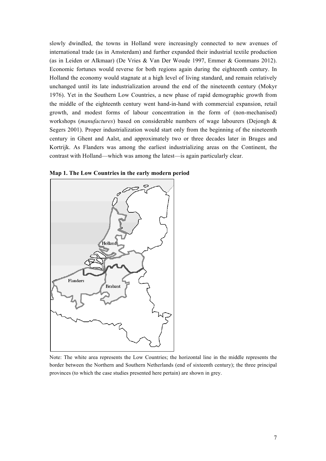slowly dwindled, the towns in Holland were increasingly connected to new avenues of international trade (as in Amsterdam) and further expanded their industrial textile production (as in Leiden or Alkmaar) (De Vries & Van Der Woude 1997, Emmer & Gommans 2012). Economic fortunes would reverse for both regions again during the eighteenth century. In Holland the economy would stagnate at a high level of living standard, and remain relatively unchanged until its late industrialization around the end of the nineteenth century (Mokyr 1976). Yet in the Southern Low Countries, a new phase of rapid demographic growth from the middle of the eighteenth century went hand-in-hand with commercial expansion, retail growth, and modest forms of labour concentration in the form of (non-mechanised) workshops (*manufactures*) based on considerable numbers of wage labourers (Dejongh & Segers 2001). Proper industrialization would start only from the beginning of the nineteenth century in Ghent and Aalst, and approximately two or three decades later in Bruges and Kortrijk. As Flanders was among the earliest industrializing areas on the Continent, the contrast with Holland—which was among the latest—is again particularly clear.



**Map 1. The Low Countries in the early modern period**

Note: The white area represents the Low Countries; the horizontal line in the middle represents the border between the Northern and Southern Netherlands (end of sixteenth century); the three principal provinces (to which the case studies presented here pertain) are shown in grey.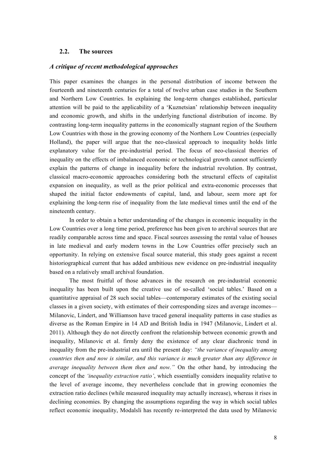## **2.2. The sources**

#### *A critique of recent methodological approaches*

This paper examines the changes in the personal distribution of income between the fourteenth and nineteenth centuries for a total of twelve urban case studies in the Southern and Northern Low Countries. In explaining the long-term changes established, particular attention will be paid to the applicability of a 'Kuznetsian' relationship between inequality and economic growth, and shifts in the underlying functional distribution of income. By contrasting long-term inequality patterns in the economically stagnant region of the Southern Low Countries with those in the growing economy of the Northern Low Countries (especially Holland), the paper will argue that the neo-classical approach to inequality holds little explanatory value for the pre-industrial period. The focus of neo-classical theories of inequality on the effects of imbalanced economic or technological growth cannot sufficiently explain the patterns of change in inequality before the industrial revolution. By contrast, classical macro-economic approaches considering both the structural effects of capitalist expansion on inequality, as well as the prior political and extra-economic processes that shaped the initial factor endowments of capital, land, and labour, seem more apt for explaining the long-term rise of inequality from the late medieval times until the end of the nineteenth century.

In order to obtain a better understanding of the changes in economic inequality in the Low Countries over a long time period, preference has been given to archival sources that are readily comparable across time and space. Fiscal sources assessing the rental value of houses in late medieval and early modern towns in the Low Countries offer precisely such an opportunity. In relying on extensive fiscal source material, this study goes against a recent historiographical current that has added ambitious new evidence on pre-industrial inequality based on a relatively small archival foundation.

The most fruitful of those advances in the research on pre-industrial economic inequality has been built upon the creative use of so-called 'social tables.' Based on a quantitative appraisal of 28 such social tables—contemporary estimates of the existing social classes in a given society, with estimates of their corresponding sizes and average incomes— Milanovic, Lindert, and Williamson have traced general inequality patterns in case studies as diverse as the Roman Empire in 14 AD and British India in 1947 (Milanovic, Lindert et al. 2011). Although they do not directly confront the relationship between economic growth and inequality, Milanovic et al. firmly deny the existence of any clear diachronic trend in inequality from the pre-industrial era until the present day: *"the variance of inequality among countries then and now is similar, and this variance is much greater than any difference in average inequality between them then and now."* On the other hand, by introducing the concept of the *'inequality extraction ratio'*, which essentially considers inequality relative to the level of average income, they nevertheless conclude that in growing economies the extraction ratio declines (while measured inequality may actually increase), whereas it rises in declining economies. By changing the assumptions regarding the way in which social tables reflect economic inequality, Modalsli has recently re-interpreted the data used by Milanovic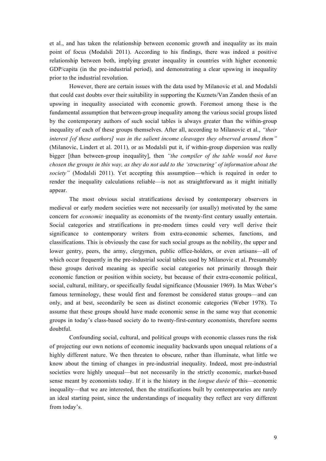et al., and has taken the relationship between economic growth and inequality as its main point of focus (Modalsli 2011). According to his findings, there was indeed a positive relationship between both, implying greater inequality in countries with higher economic GDP/capita (in the pre-industrial period), and demonstrating a clear upswing in inequality prior to the industrial revolution.

However, there are certain issues with the data used by Milanovic et al. and Modalsli that could cast doubts over their suitability in supporting the Kuznets/Van Zanden thesis of an upswing in inequality associated with economic growth. Foremost among these is the fundamental assumption that between-group inequality among the various social groups listed by the contemporary authors of such social tables is always greater than the within-group inequality of each of these groups themselves. After all, according to Milanovic et al., *"their interest [of these authors] was in the salient income cleavages they observed around them"* (Milanovic, Lindert et al. 2011)*,* or as Modalsli put it, if within-group dispersion was really bigger [than between-group inequality], then *"the compiler of the table would not have chosen the groups in this way, as they do not add to the 'structuring' of information about the society"* (Modalsli 2011). Yet accepting this assumption—which is required in order to render the inequality calculations reliable—is not as straightforward as it might initially appear.

The most obvious social stratifications devised by contemporary observers in medieval or early modern societies were not necessarily (or usually) motivated by the same concern for *economic* inequality as economists of the twenty-first century usually entertain. Social categories and stratifications in pre-modern times could very well derive their significance to contemporary writers from extra-economic schemes, functions, and classifications. This is obviously the case for such social groups as the nobility, the upper and lower gentry, peers, the army, clergymen, public office-holders, or even artisans—all of which occur frequently in the pre-industrial social tables used by Milanovic et al. Presumably these groups derived meaning as specific social categories not primarily through their economic function or position within society, but because of their extra-economic political, social, cultural, military, or specifically feudal significance (Mousnier 1969). In Max Weber's famous terminology, these would first and foremost be considered status groups—and can only, and at best, secondarily be seen as distinct economic categories (Weber 1978). To assume that these groups should have made economic sense in the same way that economic groups in today's class-based society do to twenty-first-century economists, therefore seems doubtful.

Confounding social, cultural, and political groups with economic classes runs the risk of projecting our own notions of economic inequality backwards upon unequal relations of a highly different nature. We then threaten to obscure, rather than illuminate, what little we know about the timing of changes in pre-industrial inequality. Indeed, most pre-industrial societies were highly unequal—but not necessarily in the strictly economic, market-based sense meant by economists today. If it is the history in the *longue durée* of this—economic inequality—that we are interested, then the stratifications built by contemporaries are rarely an ideal starting point, since the understandings of inequality they reflect are very different from today's.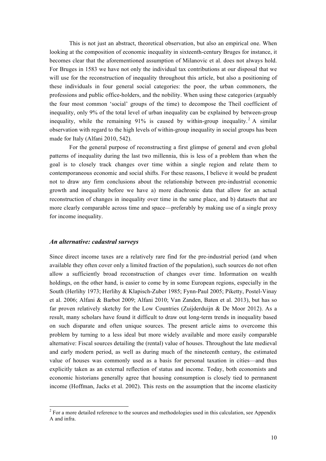This is not just an abstract, theoretical observation, but also an empirical one. When looking at the composition of economic inequality in sixteenth-century Bruges for instance, it becomes clear that the aforementioned assumption of Milanovic et al. does not always hold. For Bruges in 1583 we have not only the individual tax contributions at our disposal that we will use for the reconstruction of inequality throughout this article, but also a positioning of these individuals in four general social categories: the poor, the urban commoners, the professions and public office-holders, and the nobility. When using these categories (arguably the four most common 'social' groups of the time) to decompose the Theil coefficient of inequality, only 9% of the total level of urban inequality can be explained by between-group inequality, while the remaining  $91\%$  is caused by within-group inequality.<sup>2</sup> A similar observation with regard to the high levels of within-group inequality in social groups has been made for Italy (Alfani 2010, 542).

For the general purpose of reconstructing a first glimpse of general and even global patterns of inequality during the last two millennia, this is less of a problem than when the goal is to closely track changes over time within a single region and relate them to contemporaneous economic and social shifts. For these reasons, I believe it would be prudent not to draw any firm conclusions about the relationship between pre-industrial economic growth and inequality before we have a) more diachronic data that allow for an actual reconstruction of changes in inequality over time in the same place, and b) datasets that are more clearly comparable across time and space—preferably by making use of a single proxy for income inequality.

#### *An alternative: cadastral surveys*

Since direct income taxes are a relatively rare find for the pre-industrial period (and when available they often cover only a limited fraction of the population), such sources do not often allow a sufficiently broad reconstruction of changes over time. Information on wealth holdings, on the other hand, is easier to come by in some European regions, especially in the South (Herlihy 1973; Herlihy & Klapisch-Zuber 1985; Fynn-Paul 2005; Piketty, Postel-Vinay et al. 2006; Alfani & Barbot 2009; Alfani 2010; Van Zanden, Baten et al. 2013), but has so far proven relatively sketchy for the Low Countries (Zuijderduijn & De Moor 2012). As a result, many scholars have found it difficult to draw out long-term trends in inequality based on such disparate and often unique sources. The present article aims to overcome this problem by turning to a less ideal but more widely available and more easily comparable alternative: Fiscal sources detailing the (rental) value of houses. Throughout the late medieval and early modern period, as well as during much of the nineteenth century, the estimated value of houses was commonly used as a basis for personal taxation in cities—and thus explicitly taken as an external reflection of status and income. Today, both economists and economic historians generally agree that housing consumption is closely tied to permanent income (Hoffman, Jacks et al. 2002). This rests on the assumption that the income elasticity

<sup>&</sup>lt;sup>2</sup> For a more detailed reference to the sources and methodologies used in this calculation, see Appendix A and infra.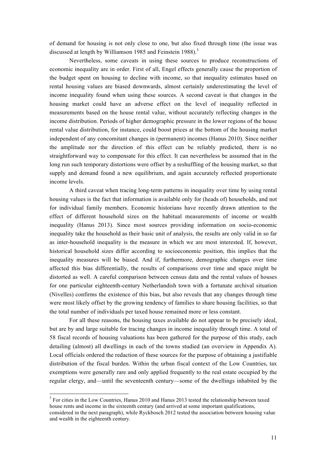of demand for housing is not only close to one, but also fixed through time (the issue was discussed at length by Williamson 1985 and Feinstein 1988).<sup>3</sup>

Nevertheless, some caveats in using these sources to produce reconstructions of economic inequality are in order. First of all, Engel effects generally cause the proportion of the budget spent on housing to decline with income, so that inequality estimates based on rental housing values are biased downwards, almost certainly underestimating the level of income inequality found when using these sources. A second caveat is that changes in the housing market could have an adverse effect on the level of inequality reflected in measurements based on the house rental value, without accurately reflecting changes in the income distribution. Periods of higher demographic pressure in the lower regions of the house rental value distribution, for instance, could boost prices at the bottom of the housing market independent of any concomitant changes in (permanent) incomes (Hanus 2010). Since neither the amplitude nor the direction of this effect can be reliably predicted, there is no straightforward way to compensate for this effect. It can nevertheless be assumed that in the long run such temporary distortions were offset by a reshuffling of the housing market, so that supply and demand found a new equilibrium, and again accurately reflected proportionate income levels.

A third caveat when tracing long-term patterns in inequality over time by using rental housing values is the fact that information is available only for (heads of) households, and not for individual family members. Economic historians have recently drawn attention to the effect of different household sizes on the habitual measurements of income or wealth inequality (Hanus 2013). Since most sources providing information on socio-economic inequality take the household as their basic unit of analysis, the results are only valid in so far as inter-household inequality is the measure in which we are most interested. If, however, historical household sizes differ according to socioeconomic position, this implies that the inequality measures will be biased. And if, furthermore, demographic changes over time affected this bias differentially, the results of comparisons over time and space might be distorted as well. A careful comparison between census data and the rental values of houses for one particular eighteenth-century Netherlandish town with a fortunate archival situation (Nivelles) confirms the existence of this bias, but also reveals that any changes through time were most likely offset by the growing tendency of families to share housing facilities, so that the total number of individuals per taxed house remained more or less constant.

For all these reasons, the housing taxes available do not appear to be precisely ideal, but are by and large suitable for tracing changes in income inequality through time. A total of 58 fiscal records of housing valuations has been gathered for the purpose of this study, each detailing (almost) all dwellings in each of the towns studied (an overview in Appendix A). Local officials ordered the redaction of these sources for the purpose of obtaining a justifiable distribution of the fiscal burden. Within the urban fiscal context of the Low Countries, tax exemptions were generally rare and only applied frequently to the real estate occupied by the regular clergy, and—until the seventeenth century—some of the dwellings inhabited by the

<sup>&</sup>lt;sup>3</sup> For cities in the Low Countries, Hanus 2010 and Hanus 2013 tested the relationship between taxed house rents and income in the sixteenth century (and arrived at some important qualifications, considered in the next paragraph), while Ryckbosch 2012 tested the association between housing value and wealth in the eighteenth century.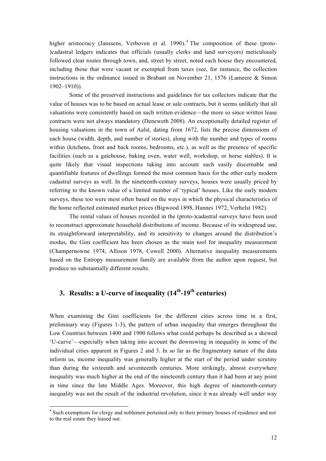higher aristocracy (Janssens, Verboven et al. 1990).<sup>4</sup> The composition of these (proto-)cadastral ledgers indicates that officials (usually clerks and land surveyors) meticulously followed clear routes through town, and, street by street, noted each house they encountered, including those that were vacant or exempted from taxes (see, for instance, the collection instructions in the ordinance issued in Brabant on November 21, 1576 (Lameere & Simon 1902–1910)).

Some of the preserved instructions and guidelines for tax collectors indicate that the value of houses was to be based on actual lease or sale contracts, but it seems unlikely that all valuations were consistently based on such written evidence—the more so since written lease contracts were not always mandatory (Deneweth 2008). An exceptionally detailed register of housing valuations in the town of Aalst, dating from 1672, lists the precise dimensions of each house (width, depth, and number of stories), along with the number and types of rooms within (kitchens, front and back rooms, bedrooms, etc.), as well as the presence of specific facilities (such as a gatehouse, baking oven, water well, workshop, or horse stables). It is quite likely that visual inspections taking into account such easily discernable and quantifiable features of dwellings formed the most common basis for the other early modern cadastral surveys as well. In the nineteenth-century surveys, houses were usually priced by referring to the known value of a limited number of 'typical' houses. Like the early modern surveys, these too were most often based on the ways in which the physical characteristics of the home reflected estimated market prices (Bigwood 1898, Hannes 1972, Verhelst 1982).

The rental values of houses recorded in the (proto-)cadastral surveys have been used to reconstruct approximate household distributions of income. Because of its widespread use, its straightforward interpretability, and its sensitivity to changes around the distribution's modus, the Gini coefficient has been chosen as the main tool for inequality measurement (Champernowne 1974, Allison 1978, Cowell 2000). Alternative inequality measurements based on the Entropy measurement family are available from the author upon request, but produce no substantially different results.

# **3. Results: a U-curve of inequality (14th-19th centuries)**

When examining the Gini coefficients for the different cities across time in a first, preliminary way (Figures 1-3), the pattern of urban inequality that emerges throughout the Low Countries between 1400 and 1900 follows what could perhaps be described as a skewed 'U-curve'—especially when taking into account the downswing in inequality in some of the individual cities apparent in Figures 2 and 3. In so far as the fragmentary nature of the data inform us, income inequality was generally higher at the start of the period under scrutiny than during the sixteenth and seventeenth centuries. More strikingly, almost everywhere inequality was much higher at the end of the nineteenth century than it had been at any point in time since the late Middle Ages. Moreover, this high degree of nineteenth-century inequality was not the result of the industrial revolution, since it was already well under way

<sup>&</sup>lt;sup>4</sup> Such exemptions for clergy and noblemen pertained only to their primary houses of residence and not to the real estate they leased out.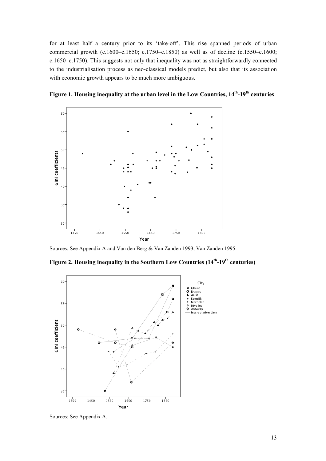for at least half a century prior to its 'take-off'. This rise spanned periods of urban commercial growth (c.1600–c.1650; c.1750–c.1850) as well as of decline (c.1550–c.1600; c.1650–c.1750). This suggests not only that inequality was not as straightforwardly connected to the industrialisation process as neo-classical models predict, but also that its association with economic growth appears to be much more ambiguous.



**Figure 1. Housing inequality at the urban level in the Low Countries, 14th-19th centuries**

Sources: See Appendix A and Van den Berg & Van Zanden 1993, Van Zanden 1995.





Sources: See Appendix A.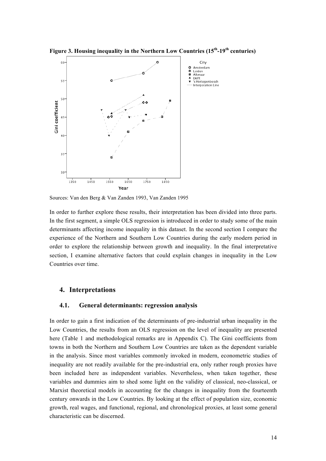**Figure 3. Housing inequality in the Northern Low Countries (15th-19th centuries)**



Sources: Van den Berg & Van Zanden 1993, Van Zanden 1995

In order to further explore these results, their interpretation has been divided into three parts. In the first segment, a simple OLS regression is introduced in order to study some of the main determinants affecting income inequality in this dataset. In the second section I compare the experience of the Northern and Southern Low Countries during the early modern period in order to explore the relationship between growth and inequality. In the final interpretative section, I examine alternative factors that could explain changes in inequality in the Low Countries over time.

### **4. Interpretations**

#### **4.1. General determinants: regression analysis**

In order to gain a first indication of the determinants of pre-industrial urban inequality in the Low Countries, the results from an OLS regression on the level of inequality are presented here (Table 1 and methodological remarks are in Appendix C). The Gini coefficients from towns in both the Northern and Southern Low Countries are taken as the dependent variable in the analysis. Since most variables commonly invoked in modern, econometric studies of inequality are not readily available for the pre-industrial era, only rather rough proxies have been included here as independent variables. Nevertheless, when taken together, these variables and dummies aim to shed some light on the validity of classical, neo-classical, or Marxist theoretical models in accounting for the changes in inequality from the fourteenth century onwards in the Low Countries. By looking at the effect of population size, economic growth, real wages, and functional, regional, and chronological proxies, at least some general characteristic can be discerned.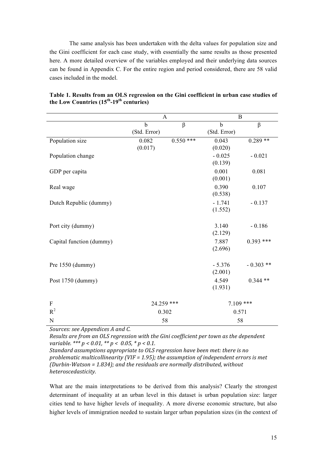The same analysis has been undertaken with the delta values for population size and the Gini coefficient for each case study, with essentially the same results as those presented here. A more detailed overview of the variables employed and their underlying data sources can be found in Appendix C. For the entire region and period considered, there are 58 valid cases included in the model.

|                          | A            |             | B            |             |
|--------------------------|--------------|-------------|--------------|-------------|
|                          | b            | $\beta$     | $\mathbf b$  | $\beta$     |
|                          | (Std. Error) |             | (Std. Error) |             |
| Population size          | 0.082        | $0.550$ *** | 0.043        | $0.289**$   |
|                          | (0.017)      |             | (0.020)      |             |
| Population change        |              |             | $-0.025$     | $-0.021$    |
|                          |              |             | (0.139)      |             |
| GDP per capita           |              |             | 0.001        | 0.081       |
|                          |              |             | (0.001)      |             |
| Real wage                |              |             | 0.390        | 0.107       |
|                          |              |             | (0.538)      |             |
| Dutch Republic (dummy)   |              |             | $-1.741$     | $-0.137$    |
|                          |              |             | (1.552)      |             |
|                          |              |             |              |             |
| Port city (dummy)        |              |             | 3.140        | $-0.186$    |
|                          |              |             | (2.129)      |             |
| Capital function (dummy) |              |             | 7.887        | $0.393$ *** |
|                          |              |             | (2.696)      |             |
|                          |              |             |              |             |
| Pre 1550 (dummy)         |              |             | $-5.376$     | $-0.303**$  |
|                          |              |             | (2.001)      |             |
| Post 1750 (dummy)        |              |             | 4.549        | $0.344**$   |
|                          |              |             | (1.931)      |             |
| ${\bf F}$                | 24.259 ***   |             | $7.109$ ***  |             |
| $R^2$                    | 0.302        |             | 0.571        |             |
| N                        | 58           |             | 58           |             |

## **Table 1. Results from an OLS regression on the Gini coefficient in urban case studies of the Low Countries (15th-19th centuries)**

Sources: see Appendices A and C.

*Results are from an OLS regression with the Gini coefficient per town as the dependent variable.* \*\*\*  $p < 0.01$ , \*\*  $p < 0.05$ , \*  $p < 0.1$ .

*Standard assumptions appropriate to OLS regression have been met: there is no* problematic multicollinearity (VIF = 1.95); the assumption of independent errors is met *(Durbin-Watson = 1.834); and the residuals are normally distributed, without heteroscedasticity.* 

What are the main interpretations to be derived from this analysis? Clearly the strongest determinant of inequality at an urban level in this dataset is urban population size: larger cities tend to have higher levels of inequality. A more diverse economic structure, but also higher levels of immigration needed to sustain larger urban population sizes (in the context of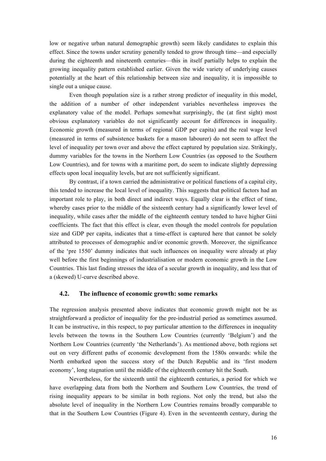low or negative urban natural demographic growth) seem likely candidates to explain this effect. Since the towns under scrutiny generally tended to grow through time—and especially during the eighteenth and nineteenth centuries—this in itself partially helps to explain the growing inequality pattern established earlier. Given the wide variety of underlying causes potentially at the heart of this relationship between size and inequality, it is impossible to single out a unique cause.

Even though population size is a rather strong predictor of inequality in this model, the addition of a number of other independent variables nevertheless improves the explanatory value of the model. Perhaps somewhat surprisingly, the (at first sight) most obvious explanatory variables do not significantly account for differences in inequality. Economic growth (measured in terms of regional GDP per capita) and the real wage level (measured in terms of subsistence baskets for a mason labourer) do not seem to affect the level of inequality per town over and above the effect captured by population size. Strikingly, dummy variables for the towns in the Northern Low Countries (as opposed to the Southern Low Countries), and for towns with a maritime port, do seem to indicate slightly depressing effects upon local inequality levels, but are not sufficiently significant.

By contrast, if a town carried the administrative or political functions of a capital city, this tended to increase the local level of inequality. This suggests that political factors had an important role to play, in both direct and indirect ways. Equally clear is the effect of time, whereby cases prior to the middle of the sixteenth century had a significantly lower level of inequality, while cases after the middle of the eighteenth century tended to have higher Gini coefficients. The fact that this effect is clear, even though the model controls for population size and GDP per capita, indicates that a time-effect is captured here that cannot be solely attributed to processes of demographic and/or economic growth. Moreover, the significance of the 'pre 1550' dummy indicates that such influences on inequality were already at play well before the first beginnings of industrialisation or modern economic growth in the Low Countries. This last finding stresses the idea of a secular growth in inequality, and less that of a (skewed) U-curve described above.

### **4.2. The influence of economic growth: some remarks**

The regression analysis presented above indicates that economic growth might not be as straightforward a predictor of inequality for the pre-industrial period as sometimes assumed. It can be instructive, in this respect, to pay particular attention to the differences in inequality levels between the towns in the Southern Low Countries (currently 'Belgium') and the Northern Low Countries (currently 'the Netherlands'). As mentioned above, both regions set out on very different paths of economic development from the 1580s onwards: while the North embarked upon the success story of the Dutch Republic and its 'first modern economy', long stagnation until the middle of the eighteenth century hit the South.

Nevertheless, for the sixteenth until the eighteenth centuries, a period for which we have overlapping data from both the Northern and Southern Low Countries, the trend of rising inequality appears to be similar in both regions. Not only the trend, but also the absolute level of inequality in the Northern Low Countries remains broadly comparable to that in the Southern Low Countries (Figure 4). Even in the seventeenth century, during the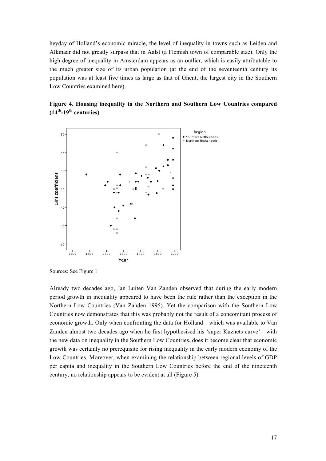heyday of Holland's economic miracle, the level of inequality in towns such as Leiden and Alkmaar did not greatly surpass that in Aalst (a Flemish town of comparable size). Only the high degree of inequality in Amsterdam appears as an outlier, which is easily attributable to the much greater size of its urban population (at the end of the seventeenth century its population was at least five times as large as that of Ghent, the largest city in the Southern Low Countries examined here).





Sources: See Figure 1

Already two decades ago, Jan Luiten Van Zanden observed that during the early modern period growth in inequality appeared to have been the rule rather than the exception in the Northern Low Countries (Van Zanden 1995). Yet the comparison with the Southern Low Countries now demonstrates that this was probably not the result of a concomitant process of economic growth. Only when confronting the data for Holland—which was available to Van Zanden almost two decades ago when he first hypothesised his 'super Kuznets curve'—with the new data on inequality in the Southern Low Countries, does it become clear that economic growth was certainly no prerequisite for rising inequality in the early modern economy of the Low Countries. Moreover, when examining the relationship between regional levels of GDP per capita and inequality in the Southern Low Countries before the end of the nineteenth century, no relationship appears to be evident at all (Figure 5).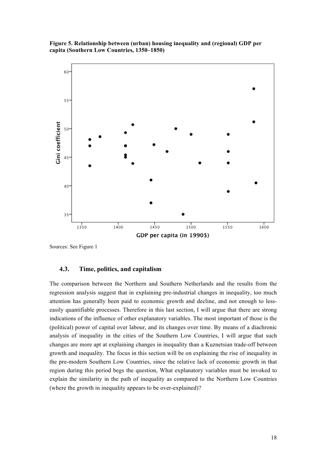**Figure 5. Relationship between (urban) housing inequality and (regional) GDP per capita (Southern Low Countries, 1350–1850)**



Sources: See Figure 1

#### **4.3. Time, politics, and capitalism**

The comparison between the Northern and Southern Netherlands and the results from the regression analysis suggest that in explaining pre-industrial changes in inequality, too much attention has generally been paid to economic growth and decline, and not enough to lesseasily quantifiable processes. Therefore in this last section, I will argue that there are strong indications of the influence of other explanatory variables. The most important of those is the (political) power of capital over labour, and its changes over time. By means of a diachronic analysis of inequality in the cities of the Southern Low Countries, I will argue that such changes are more apt at explaining changes in inequality than a Kuznetsian trade-off between growth and inequality. The focus in this section will be on explaining the rise of inequality in the pre-modern Southern Low Countries, since the relative lack of economic growth in that region during this period begs the question, What explanatory variables must be invoked to explain the similarity in the path of inequality as compared to the Northern Low Countries (where the growth in inequality appears to be over-explained)?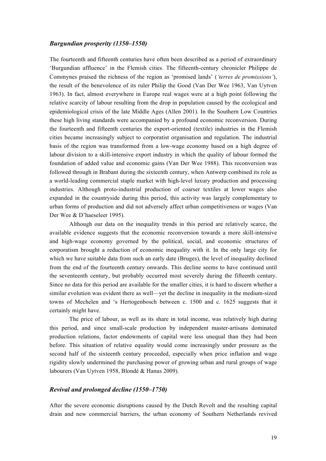#### *Burgundian prosperity (1350–1550)*

The fourteenth and fifteenth centuries have often been described as a period of extraordinary 'Burgundian affluence' in the Flemish cities. The fifteenth-century chronicler Philippe de Commynes praised the richness of the region as 'promised lands' (*'terres de promissions'*), the result of the benevolence of its ruler Philip the Good (Van Der Wee 1963, Van Uytven 1963). In fact, almost everywhere in Europe real wages were at a high point following the relative scarcity of labour resulting from the drop in population caused by the ecological and epidemiological crisis of the late Middle Ages (Allen 2001). In the Southern Low Countries these high living standards were accompanied by a profound economic reconversion. During the fourteenth and fifteenth centuries the export-oriented (textile) industries in the Flemish cities became increasingly subject to corporatist organisation and regulation. The industrial basis of the region was transformed from a low-wage economy based on a high degree of labour division to a skill-intensive export industry in which the quality of labour formed the foundation of added value and economic gains (Van Der Wee 1988). This reconversion was followed through in Brabant during the sixteenth century, when Antwerp combined its role as a world-leading commercial staple market with high-level luxury production and processing industries. Although proto-industrial production of coarser textiles at lower wages also expanded in the countryside during this period, this activity was largely complementary to urban forms of production and did not adversely affect urban competitiveness or wages (Van Der Wee & D'haeseleer 1995).

Although our data on the inequality trends in this period are relatively scarce, the available evidence suggests that the economic reconversion towards a more skill-intensive and high-wage economy governed by the political, social, and economic structures of corporatism brought a reduction of economic inequality with it. In the only large city for which we have suitable data from such an early date (Bruges), the level of inequality declined from the end of the fourteenth century onwards. This decline seems to have continued until the seventeenth century, but probably occurred most severely during the fifteenth century. Since no data for this period are available for the smaller cities, it is hard to discern whether a similar evolution was evident there as well—yet the decline in inequality in the medium-sized towns of Mechelen and 's Hertogenbosch between c. 1500 and c. 1625 suggests that it certainly might have.

The price of labour, as well as its share in total income, was relatively high during this period, and since small-scale production by independent master-artisans dominated production relations, factor endowments of capital were less unequal than they had been before. This situation of relative equality would come increasingly under pressure as the second half of the sixteenth century proceeded, especially when price inflation and wage rigidity slowly undermined the purchasing power of growing urban and rural groups of wage labourers (Van Uytven 1958, Blondé & Hanus 2009).

### *Revival and prolonged decline (1550–1750)*

After the severe economic disruptions caused by the Dutch Revolt and the resulting capital drain and new commercial barriers, the urban economy of Southern Netherlands revived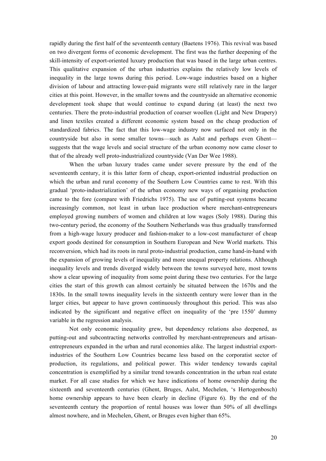rapidly during the first half of the seventeenth century (Baetens 1976). This revival was based on two divergent forms of economic development. The first was the further deepening of the skill-intensity of export-oriented luxury production that was based in the large urban centres. This qualitative expansion of the urban industries explains the relatively low levels of inequality in the large towns during this period. Low-wage industries based on a higher division of labour and attracting lower-paid migrants were still relatively rare in the larger cities at this point. However, in the smaller towns and the countryside an alternative economic development took shape that would continue to expand during (at least) the next two centuries. There the proto-industrial production of coarser woollen (Light and New Drapery) and linen textiles created a different economic system based on the cheap production of standardized fabrics. The fact that this low-wage industry now surfaced not only in the countryside but also in some smaller towns—such as Aalst and perhaps even Ghent suggests that the wage levels and social structure of the urban economy now came closer to that of the already well proto-industrialized countryside (Van Der Wee 1988).

When the urban luxury trades came under severe pressure by the end of the seventeenth century, it is this latter form of cheap, export-oriented industrial production on which the urban and rural economy of the Southern Low Countries came to rest. With this gradual 'proto-industrialization' of the urban economy new ways of organising production came to the fore (compare with Friedrichs 1975). The use of putting-out systems became increasingly common, not least in urban lace production where merchant-entrepreneurs employed growing numbers of women and children at low wages (Soly 1988). During this two-century period, the economy of the Southern Netherlands was thus gradually transformed from a high-wage luxury producer and fashion-maker to a low-cost manufacturer of cheap export goods destined for consumption in Southern European and New World markets. This reconversion, which had its roots in rural proto-industrial production, came hand-in-hand with the expansion of growing levels of inequality and more unequal property relations. Although inequality levels and trends diverged widely between the towns surveyed here, most towns show a clear upswing of inequality from some point during these two centuries. For the large cities the start of this growth can almost certainly be situated between the 1670s and the 1830s. In the small towns inequality levels in the sixteenth century were lower than in the larger cities, but appear to have grown continuously throughout this period. This was also indicated by the significant and negative effect on inequality of the 'pre 1550' dummy variable in the regression analysis.

Not only economic inequality grew, but dependency relations also deepened, as putting-out and subcontracting networks controlled by merchant-entrepreneurs and artisanentrepreneurs expanded in the urban and rural economies alike. The largest industrial exportindustries of the Southern Low Countries became less based on the corporatist sector of production, its regulations, and political power. This wider tendency towards capital concentration is exemplified by a similar trend towards concentration in the urban real estate market. For all case studies for which we have indications of home ownership during the sixteenth and seventeenth centuries (Ghent, Bruges, Aalst, Mechelen, 's Hertogenbosch) home ownership appears to have been clearly in decline (Figure 6). By the end of the seventeenth century the proportion of rental houses was lower than 50% of all dwellings almost nowhere, and in Mechelen, Ghent, or Bruges even higher than 65%.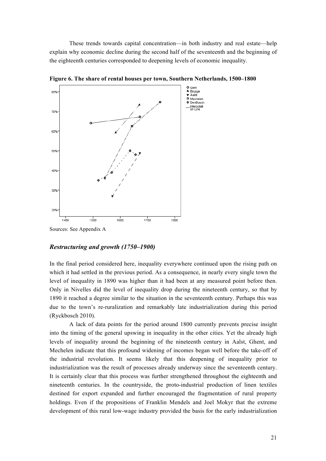These trends towards capital concentration—in both industry and real estate—help explain why economic decline during the second half of the seventeenth and the beginning of the eighteenth centuries corresponded to deepening levels of economic inequality.



**Figure 6. The share of rental houses per town, Southern Netherlands, 1500–1800**

#### *Restructuring and growth (1750–1900)*

In the final period considered here, inequality everywhere continued upon the rising path on which it had settled in the previous period. As a consequence, in nearly every single town the level of inequality in 1890 was higher than it had been at any measured point before then. Only in Nivelles did the level of inequality drop during the nineteenth century, so that by 1890 it reached a degree similar to the situation in the seventeenth century. Perhaps this was due to the town's re-ruralization and remarkably late industrialization during this period (Ryckbosch 2010).

A lack of data points for the period around 1800 currently prevents precise insight into the timing of the general upswing in inequality in the other cities. Yet the already high levels of inequality around the beginning of the nineteenth century in Aalst, Ghent, and Mechelen indicate that this profound widening of incomes began well before the take-off of the industrial revolution. It seems likely that this deepening of inequality prior to industrialization was the result of processes already underway since the seventeenth century. It is certainly clear that this process was further strengthened throughout the eighteenth and nineteenth centuries. In the countryside, the proto-industrial production of linen textiles destined for export expanded and further encouraged the fragmentation of rural property holdings. Even if the propositions of Franklin Mendels and Joel Mokyr that the extreme development of this rural low-wage industry provided the basis for the early industrialization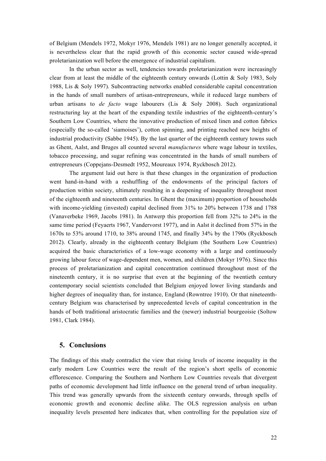of Belgium (Mendels 1972, Mokyr 1976, Mendels 1981) are no longer generally accepted, it is nevertheless clear that the rapid growth of this economic sector caused wide-spread proletarianization well before the emergence of industrial capitalism.

In the urban sector as well, tendencies towards proletarianization were increasingly clear from at least the middle of the eighteenth century onwards (Lottin  $\&$  Soly 1983, Soly 1988, Lis & Soly 1997). Subcontracting networks enabled considerable capital concentration in the hands of small numbers of artisan-entrepreneurs, while it reduced large numbers of urban artisans to *de facto* wage labourers (Lis & Soly 2008). Such organizational restructuring lay at the heart of the expanding textile industries of the eighteenth-century's Southern Low Countries, where the innovative production of mixed linen and cotton fabrics (especially the so-called 'siamoises'), cotton spinning, and printing reached new heights of industrial productivity (Sabbe 1945). By the last quarter of the eighteenth century towns such as Ghent, Aalst, and Bruges all counted several *manufactures* where wage labour in textiles, tobacco processing, and sugar refining was concentrated in the hands of small numbers of entrepreneurs (Coppejans-Desmedt 1952, Moureaux 1974, Ryckbosch 2012).

The argument laid out here is that these changes in the organization of production went hand-in-hand with a reshuffling of the endowments of the principal factors of production within society, ultimately resulting in a deepening of inequality throughout most of the eighteenth and nineteenth centuries. In Ghent the (maximum) proportion of households with income-yielding (invested) capital declined from 31% to 20% between 1738 and 1788 (Vanaverbeke 1969, Jacobs 1981). In Antwerp this proportion fell from 32% to 24% in the same time period (Feyaerts 1967, Vandervorst 1977), and in Aalst it declined from 57% in the 1670s to 53% around 1710, to 38% around 1745, and finally 34% by the 1790s (Ryckbosch 2012). Clearly, already in the eighteenth century Belgium (the Southern Low Countries) acquired the basic characteristics of a low-wage economy with a large and continuously growing labour force of wage-dependent men, women, and children (Mokyr 1976). Since this process of proletarianization and capital concentration continued throughout most of the nineteenth century, it is no surprise that even at the beginning of the twentieth century contemporary social scientists concluded that Belgium enjoyed lower living standards and higher degrees of inequality than, for instance, England (Rowntree 1910). Or that nineteenthcentury Belgium was characterised by unprecedented levels of capital concentration in the hands of both traditional aristocratic families and the (newer) industrial bourgeoisie (Soltow 1981, Clark 1984).

# **5. Conclusions**

The findings of this study contradict the view that rising levels of income inequality in the early modern Low Countries were the result of the region's short spells of economic efflorescence. Comparing the Southern and Northern Low Countries reveals that divergent paths of economic development had little influence on the general trend of urban inequality. This trend was generally upwards from the sixteenth century onwards, through spells of economic growth and economic decline alike. The OLS regression analysis on urban inequality levels presented here indicates that, when controlling for the population size of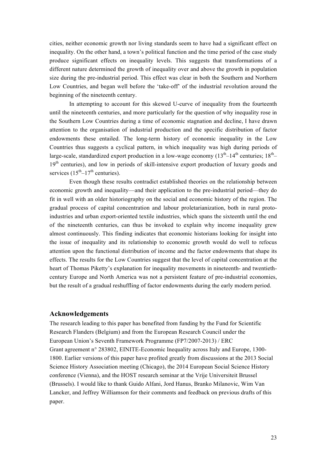cities, neither economic growth nor living standards seem to have had a significant effect on inequality. On the other hand, a town's political function and the time period of the case study produce significant effects on inequality levels. This suggests that transformations of a different nature determined the growth of inequality over and above the growth in population size during the pre-industrial period. This effect was clear in both the Southern and Northern Low Countries, and began well before the 'take-off' of the industrial revolution around the beginning of the nineteenth century.

In attempting to account for this skewed U-curve of inequality from the fourteenth until the nineteenth centuries, and more particularly for the question of why inequality rose in the Southern Low Countries during a time of economic stagnation and decline, I have drawn attention to the organisation of industrial production and the specific distribution of factor endowments these entailed. The long-term history of economic inequality in the Low Countries thus suggests a cyclical pattern, in which inequality was high during periods of large-scale, standardized export production in a low-wage economy  $(13<sup>th</sup>-14<sup>th</sup>$  centuries:  $18<sup>th</sup> 19<sup>th</sup>$  centuries), and low in periods of skill-intensive export production of luxury goods and services  $(15<sup>th</sup>-17<sup>th</sup>$  centuries).

Even though these results contradict established theories on the relationship between economic growth and inequality—and their application to the pre-industrial period—they do fit in well with an older historiography on the social and economic history of the region. The gradual process of capital concentration and labour proletarianization, both in rural protoindustries and urban export-oriented textile industries, which spans the sixteenth until the end of the nineteenth centuries, can thus be invoked to explain why income inequality grew almost continuously. This finding indicates that economic historians looking for insight into the issue of inequality and its relationship to economic growth would do well to refocus attention upon the functional distribution of income and the factor endowments that shape its effects. The results for the Low Countries suggest that the level of capital concentration at the heart of Thomas Piketty's explanation for inequality movements in nineteenth- and twentiethcentury Europe and North America was not a persistent feature of pre-industrial economies, but the result of a gradual reshuffling of factor endowments during the early modern period.

#### **Acknowledgements**

The research leading to this paper has benefited from funding by the Fund for Scientific Research Flanders (Belgium) and from the European Research Council under the European Union's Seventh Framework Programme (FP7/2007-2013) / ERC Grant agreement n° 283802, EINITE-Economic Inequality across Italy and Europe, 1300- 1800. Earlier versions of this paper have profited greatly from discussions at the 2013 Social Science History Association meeting (Chicago), the 2014 European Social Science History conference (Vienna), and the HOST research seminar at the Vrije Universiteit Brussel (Brussels). I would like to thank Guido Alfani, Jord Hanus, Branko Milanovic, Wim Van Lancker, and Jeffrey Williamson for their comments and feedback on previous drafts of this paper.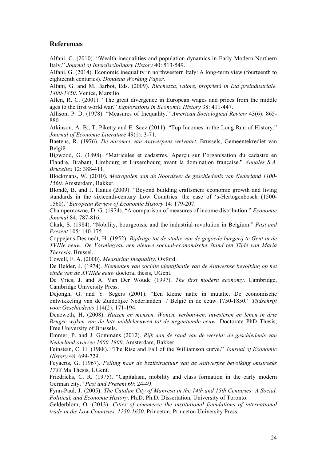### **References**

Alfani, G. (2010). "Wealth inequalities and population dynamics in Early Modern Northern Italy." *Journal of Interdisciplinary History* 40: 513-549.

Alfani, G. (2014). Economic inequality in northwestern Italy: A long-term view (fourteenth to eighteenth centuries). *Dondena Working Paper*.

Alfani, G. and M. Barbot, Eds. (2009). *Ricchezza, valore, proprietà in Età preindustriale. 1400-1850*. Venice, Marsilio.

Allen, R. C. (2001). "The great divergence in European wages and prices from the middle ages to the first world war." *Explorations in Economic History* 38: 411-447.

Allison, P. D. (1978). "Measures of Inequality." *American Sociological Review* 43(6): 865- 880.

Atkinson, A. B., T. Piketty and E. Saez (2011). "Top Incomes in the Long Run of History." *Journal of Economic Literature* 49(1): 3-71.

Baetens, R. (1976). *De nazomer van Antwerpens welvaart*. Brussels, Gemeentekrediet van België.

Bigwood, G. (1898). "Matricules et cadastres. Aperçu sur l'organisation du cadastre en Flandre, Brabant, Limbourg et Luxembourg avant la domination française." *Annales S.A. Bruxelles* 12: 388-411.

Blockmans, W. (2010). *Metropolen aan de Noordzee: de geschiedenis van Nederland 1100- 1560*. Amsterdam, Bakker.

Blondé, B. and J. Hanus (2009). "Beyond building craftsmen: economic growth and living standards in the sixteenth-century Low Countries: the case of 's-Hertogenbosch (1500- 1560)." *European Review of Economic History* 14: 179-207.

Champernowne, D. G. (1974). "A comparison of measures of income distribution." *Economic Journal* 84: 787-816.

Clark, S. (1984). "Nobility, bourgeoisie and the industrial revolution in Belgium." *Past and Present* 105: 140-175.

Coppejans-Desmedt, H. (1952). *Bijdrage tot de studie van de gegoede burgerij te Gent in de XVIIIe eeuw. De Vormingvan een nieuwe sociaal-economische Stand ten Tijde van Maria Theresia*. Brussel.

Cowell, F. A. (2000). *Measuring Inequality*. Oxford.

De Belder, J. (1974). *Elementen van sociale identifikatie van de Antwerpse bevolking op het einde van de XVIIIde eeuw* doctoral thesis, UGent.

De Vries, J. and A. Van Der Woude (1997). *The first modern economy*. Cambridge, Cambridge University Press.

Dejongh, G. and Y. Segers (2001). "Een kleine natie in mutatie. De economische ontwikkeling van de Zuidelijke Nederlanden / België in de eeuw 1750-1850." *Tijdschrift voor Geschiedenis* 114(2): 171-194.

Deneweth, H. (2008). *Huizen en mensen. Wonen, verbouwen, investeren en lenen in drie Brugse wijken van de late middeleeuwen tot de negentiende eeuw*. Doctorate PhD Thesis, Free University of Brussels.

Emmer, P. and J. Gommans (2012). *Rijk aan de rand van de wereld: de geschiedenis van Nederland overzee 1600-1800*. Amsterdam, Bakker.

Feinstein, C. H. (1988). "The Rise and Fall of the Williamson curve." *Journal of Economic History* 48: 699-729.

Feyaerts, G. (1967). *Peiling naar de bezitstructuur van de Antwerpse bevolking omstreeks 1738* Ma Thesis, UGent.

Friedrichs, C. R. (1975). "Capitalism, mobility and class formation in the early modern German city." *Past and Present* 69: 24-49.

Fynn-Paul, J. (2005). *The Catalan City of Manresa in the 14th and 15th Centuries: A Social, Political, and Economic History*. Ph.D. Ph.D. Dissertation, University of Toronto.

Gelderblom, O. (2013). *Cities of commerce the institutional foundations of international trade in the Low Countries, 1250-1650*. Princeton, Princeton University Press.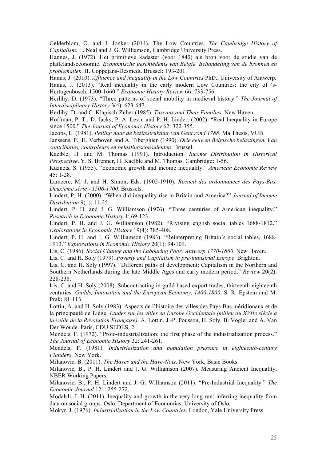Gelderblom, O. and J. Jonker (2014). The Low Countries. *The Cambridge History of Capitalism*. L. Neal and J. G. Williamson, Cambridge University Press.

Hannes, J. (1972). Het primitieve kadaster (voor 1840) als bron voor de studie van de plattelandseconomie. *Economische geschiedenis van België. Behandeling van de bronnen en problematiek*. H. Coppejans-Desmedt. Brussel**:** 193-201.

Hanus, J. (2010). *Affluence and inequality in the Low Countries* PhD., University of Antwerp. Hanus, J. (2013). "Real inequality in the early modern Low Countries: the city of 's-Hertogenbosch, 1500-1660." *Economic History Review* 66: 733-756.

Herlihy, D. (1973). "Three patterns of social mobility in medieval history." *The Journal of Interdisciplinary History* 3(4): 623-647.

Herlihy, D. and C. Klapisch-Zuber (1985). *Tuscans and Their Families*. New Haven.

Hoffman, P. T., D. Jacks, P. A. Levin and P. H. Lindert (2002). "Real Inequality in Europe since 1500." *The Journal of Economic History* 62: 322-355.

Jacobs, L. (1981). *Peiling naar de bezitsstruktuur van Gent rond 1788*. Ma Thesis, VUB.

Janssens, P., H. Verboven and A. Tiberghien (1990). *Drie eeuwen Belgische belastingen. Van contributies, controleurs en belastingsconsulenten*. Brussel.

Kaelble, H. and M. Thomas (1991). Introduction. *Income Distribution in Historical Perspective*. Y. S. Brenner, H. Kaelble and M. Thomas. Cambridge**:** 1-56.

Kuznets, S. (1955). "Economic growth and income inequality." *American Economic Review* 45: 1-28.

Lameere, M. J. and H. Simon, Eds. (1902-1910). *Recueil des ordonnances des Pays-Bas. Deuxième série - 1506-1700*. Brussels.

Lindert, P. H. (2000). "When did inequality rise in Britain and America?" *Journal of Income Distribution* 9(1): 11-25.

Lindert, P. H. and J. G. Williamson (1976). "Three centuries of American inequality." *Research in Economic History* 1: 69-123.

Lindert, P. H. and J. G. Williamson (1982). "Rivising english social tables 1688-1812." *Explorations in Economic History* 19(4): 385-408.

Lindert, P. H. and J. G. Williamson (1983). "Reinterpreting Britain's social tables, 1688- 1913." *Explorations in Economic History* 20(1): 94-109.

Lis, C. (1986). *Social Change and the Labouring Poor: Antwerp 1770-1860*. New Haven.

Lis, C. and H. Soly (1979). *Poverty and Capitalism in pre-industrial Europe*. Brighton.

Lis, C. and H. Soly (1997). "Different paths of development: Capitalism in the Northern and Southern Netherlands during the late Middle Ages and early modern period." *Review* 20(2): 228-238.

Lis, C. and H. Soly (2008). Subcontracting in guild-based export trades, thirteenth-eighteenth centuries. *Guilds, Innovation and the European Economy, 1400-1800*. S. R. Epstein and M. Prak**:** 81-113.

Lottin, A. and H. Soly (1983). Aspects de l'histoire des villes des Pays-Bas méridionaux et de la principauté de Liège. *Études sur les villes en Europe Occidentale (milieu du XVIIe siècle à la veille de la Révolution Française)*. A. Lottin, J.-P. Poussou, H. Soly, B. Vogler and A. Van Der Woude. Paris, CDU SEDES. 2.

Mendels, F. (1972). "Proto-industrialization: the first phase of the industrialization process." *The Journal of Economic History* 32: 241-261.

Mendels, F. (1981). *Industrialization and population pressure in eighteenth-century Flanders*. New York.

Milanovic, B. (2011). *The Haves and the Have-Nots*. New York, Basic Books.

Milanovic, B., P. H. Lindert and J. G. Williamson (2007). Measuring Ancient Inequality, NBER Working Papers.

Milanovic, B., P. H. Lindert and J. G. Williamson (2011). "Pre-Industrial Inequality." *The Economic Journal* 121: 255-272.

Modalsli, J. H. (2011). Inequality and growth in the very long run: inferring inequality from data on social groups. Oslo, Department of Economics, University of Oslo.

Mokyr, J. (1976). *Industrialization in the Low Countries*. London, Yale University Press.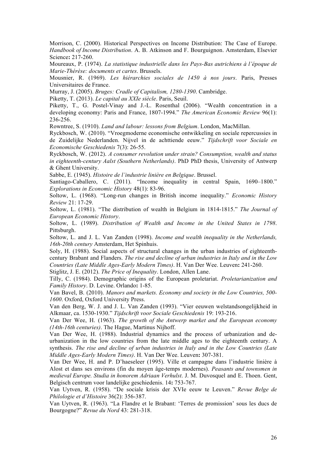Morrison, C. (2000). Historical Perspectives on Income Distribution: The Case of Europe. *Handbook of Income Distribution*. A. B. Atkinson and F. Bourguignon. Amsterdam, Elsevier Science**:** 217-260.

Moureaux, P. (1974). *La statistique industrielle dans les Pays-Bas autrichiens à l'époque de Marie-Thérèse: documents et cartes*. Brussels.

Mousnier, R. (1969). *Les hiérarchies sociales de 1450 à nos jours*. Paris, Presses Universitaires de France.

Murray, J. (2005). *Bruges: Cradle of Capitalism, 1280-1390*. Cambridge.

Piketty, T. (2013). *Le capital au XXIe siècle*. Paris, Seuil.

Piketty, T., G. Postel-Vinay and J.-L. Rosenthal (2006). "Wealth concentration in a developing economy: Paris and France, 1807-1994." *The American Economic Review* 96(1): 236-256.

Rowntree, S. (1910). *Land and labour: lessons from Belgium*. London, MacMillan.

Ryckbosch, W. (2010). "Vroegmoderne economische ontwikkeling en sociale repercussies in de Zuidelijke Nederlanden. Nijvel in de achttiende eeuw." *Tijdschrift voor Sociale en Economische Geschiedenis* 7(3): 26-55.

Ryckbosch, W. (2012). *A consumer revolution under strain? Consumption, wealth and status in eighteenth-century Aalst (Southern Netherlands)*. PhD PhD thesis, University of Antwerp & Ghent University.

Sabbe, E. (1945). *Histoire de l'industrie linière en Belgique*. Brussel.

Santiago-Caballero, C. (2011). "Income inequality in central Spain, 1690–1800." *Explorations in Economic History* 48(1): 83-96.

Soltow, L. (1968). "Long-run changes in British income inequality." *Economic History Review* 21: 17-29.

Soltow, L. (1981). "The distribution of wealth in Belgium in 1814-1815." *The Journal of European Economic History*.

Soltow, L. (1989). *Distribution of Wealth and Income in the United States in 1798*. Pittsburgh.

Soltow, L. and J. L. Van Zanden (1998). *Income and wealth inequality in the Netherlands, 16th-20th century* Amsterdam, Het Spinhuis.

Soly, H. (1988). Social aspects of structural changes in the urban industries of eighteenthcentury Brabant and Flanders. *The rise and decline of urban industries in Italy and in the Low Countries (Late Middle Ages-Early Modern Times)*. H. Van Der Wee. Leuven**:** 241-260.

Stiglitz, J. E. (2012). *The Price of Inequality*. London, Allen Lane.

Tilly, C. (1984). Demographic origins of the European proletariat. *Proletarianization and Family History*. D. Levine. Orlando**:** 1-85.

Van Bavel, B. (2010). *Manors and markets. Economy and society in the Low Countries, 500- 1600*. Oxford, Oxford University Press.

Van den Berg, W. J. and J. L. Van Zanden (1993). "Vier eeuwen welstandsongelijkheid in Alkmaar, ca. 1530-1930." *Tijdschrift voor Sociale Geschiedenis* 19: 193-216.

Van Der Wee, H. (1963). *The growth of the Antwerp market and the European economy (14th-16th centuries)*. The Hague, Martinus Nijhoff.

Van Der Wee, H. (1988). Industrial dynamics and the process of urbanization and deurbanization in the low countries from the late middle ages to the eighteenth century. A synthesis. *The rise and decline of urban industries in Italy and in the Low Countries (Late Middle Ages-Early Modern Times)*. H. Van Der Wee. Leuven**:** 307-381.

Van Der Wee, H. and P. D'haeseleer (1995). Ville et campagne dans l'industrie linière à Alost et dans ses environs (fin du moyen âge-temps modernes). *Peasants and townsmen in medieval Europe. Studia in honorem Adriaan Verhulst*. J. M. Duvosquel and E. Thoen. Gent, Belgisch centrum voor landelijke geschiedenis. 14**:** 753-767.

Van Uytven, R. (1958). "De sociale krisis der XVIe eeuw te Leuven." *Revue Belge de Philologie et d'Histoire* 36(2): 356-387.

Van Uytven, R. (1963). "La Flandre et le Brabant: 'Terres de promission' sous les ducs de Bourgogne?" *Revue du Nord* 43: 281-318.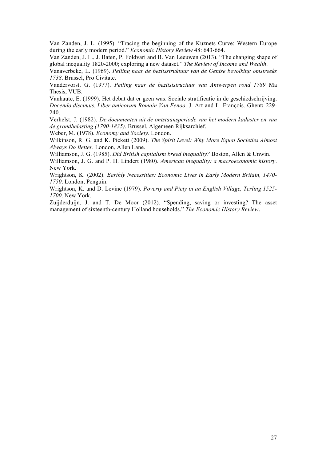Van Zanden, J. L. (1995). "Tracing the beginning of the Kuznets Curve: Western Europe during the early modern period." *Economic History Review* 48: 643-664.

Van Zanden, J. L., J. Baten, P. Foldvari and B. Van Leeuwen (2013). "The changing shape of global inequality 1820-2000; exploring a new dataset." *The Review of Income and Wealth*.

Vanaverbeke, L. (1969). *Peiling naar de bezitsstruktuur van de Gentse bevolking omstreeks 1738*. Brussel, Pro Civitate.

Vandervorst, G. (1977). *Peiling naar de bezitststructuur van Antwerpen rond 1789* Ma Thesis, VUB.

Vanhaute, E. (1999). Het debat dat er geen was. Sociale stratificatie in de geschiedschrijving. *Docendo discimus. Liber amicorum Romain Van Eenoo*. J. Art and L. François. Ghent**:** 229- 240.

Verhelst, J. (1982). *De documenten uit de ontstaansperiode van het modern kadaster en van de grondbelasting (1790-1835)*. Brussel, Algemeen Rijksarchief.

Weber, M. (1978). *Economy and Society*. London.

Wilkinson, R. G. and K. Pickett (2009). *The Spirit Level: Why More Equal Societies Almost Always Do Better*. London, Allen Lane.

Williamson, J. G. (1985). *Did British capitalism breed inequality?* Boston, Allen & Unwin.

Williamson, J. G. and P. H. Lindert (1980). *American inequality: a macroeconomic history*. New York.

Wrightson, K. (2002). *Earthly Necessities: Economic Lives in Early Modern Britain, 1470- 1750*. London, Penguin.

Wrightson, K. and D. Levine (1979). *Poverty and Piety in an English Village, Terling 1525- 1700*. New York.

Zuijderduijn, J. and T. De Moor (2012). "Spending, saving or investing? The asset management of sixteenth-century Holland households." *The Economic History Review*.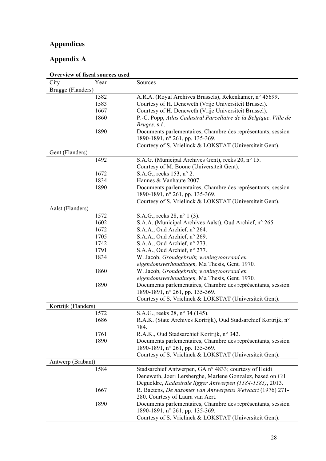# **Appendices**

# **Appendix A**

| Overview of fiscal sources used |                                                                  |  |  |
|---------------------------------|------------------------------------------------------------------|--|--|
| City<br>Year                    | Sources                                                          |  |  |
| Brugge (Flanders)               |                                                                  |  |  |
| 1382                            | A.R.A. (Royal Archives Brussels), Rekenkamer, n° 45699.          |  |  |
| 1583                            | Courtesy of H. Deneweth (Vrije Universiteit Brussel).            |  |  |
| 1667                            | Courtesy of H. Deneweth (Vrije Universiteit Brussel).            |  |  |
| 1860                            | P.-C. Popp, Atlas Cadastral Parcellaire de la Belgique. Ville de |  |  |
|                                 | Bruges, s.d.                                                     |  |  |
| 1890                            | Documents parlementaires, Chambre des représentants, session     |  |  |
|                                 | 1890-1891, n° 261, pp. 135-369.                                  |  |  |
|                                 | Courtesy of S. Vrielinck & LOKSTAT (Universiteit Gent).          |  |  |
| Gent (Flanders)                 |                                                                  |  |  |
| 1492                            | S.A.G. (Municipal Archives Gent), reeks 20, n° 15.               |  |  |
|                                 | Courtesy of M. Boone (Universiteit Gent).                        |  |  |
| 1672                            | S.A.G., reeks 153, n° 2.                                         |  |  |
| 1834                            | Hannes & Vanhaute 2007.                                          |  |  |
| 1890                            | Documents parlementaires, Chambre des représentants, session     |  |  |
|                                 | 1890-1891, n° 261, pp. 135-369.                                  |  |  |
|                                 | Courtesy of S. Vrielinck & LOKSTAT (Universiteit Gent).          |  |  |
|                                 |                                                                  |  |  |
| Aalst (Flanders)                |                                                                  |  |  |
| 1572                            | S.A.G., reeks 28, n° 1 (3).                                      |  |  |
| 1602                            | S.A.A. (Municipal Archives Aalst), Oud Archief, n° 265.          |  |  |
| 1672                            | S.A.A., Oud Archief, n° 264.                                     |  |  |
| 1705                            | S.A.A., Oud Archief, n° 269.                                     |  |  |
| 1742                            | S.A.A., Oud Archief, n° 273.                                     |  |  |
| 1791                            | S.A.A., Oud Archief, n° 277.                                     |  |  |
| 1834                            | W. Jacob, Grondgebruik, woningvoorraad en                        |  |  |
|                                 | eigendomsverhoudingen, Ma Thesis, Gent, 1970.                    |  |  |
| 1860                            | W. Jacob, Grondgebruik, woningvoorraad en                        |  |  |
|                                 | eigendomsverhoudingen, Ma Thesis, Gent, 1970.                    |  |  |
| 1890                            | Documents parlementaires, Chambre des représentants, session     |  |  |
|                                 | 1890-1891, n° 261, pp. 135-369.                                  |  |  |
|                                 | Courtesy of S. Vrielinck & LOKSTAT (Universiteit Gent).          |  |  |
| Kortrijk (Flanders)             |                                                                  |  |  |
| 1572                            | S.A.G., reeks 28, n° 34 (145).                                   |  |  |
| 1686                            | R.A.K. (State Archives Kortrijk), Oud Stadsarchief Kortrijk, n°  |  |  |
|                                 | 784.                                                             |  |  |
| 1761                            | R.A.K., Oud Stadsarchief Kortrijk, n° 342.                       |  |  |
| 1890                            | Documents parlementaires, Chambre des représentants, session     |  |  |
|                                 | 1890-1891, n° 261, pp. 135-369.                                  |  |  |
|                                 | Courtesy of S. Vrielinck & LOKSTAT (Universiteit Gent).          |  |  |
|                                 |                                                                  |  |  |
| Antwerp (Brabant)               |                                                                  |  |  |
| 1584                            | Stadsarchief Antwerpen, GA n° 4833; courtesy of Heidi            |  |  |
|                                 | Deneweth, Joeri Lersberghe, Marlene Gonzalez, based on Gil       |  |  |
|                                 | Degueldre, Kadastrale ligger Antwerpen (1584-1585), 2013.        |  |  |
| 1667                            | R. Baetens, De nazomer van Antwerpens Welvaart (1976) 271-       |  |  |
|                                 | 280. Courtesy of Laura van Aert.                                 |  |  |
| 1890                            | Documents parlementaires, Chambre des représentants, session     |  |  |
|                                 | 1890-1891, n° 261, pp. 135-369.                                  |  |  |
|                                 | Courtesy of S. Vrielinck & LOKSTAT (Universiteit Gent).          |  |  |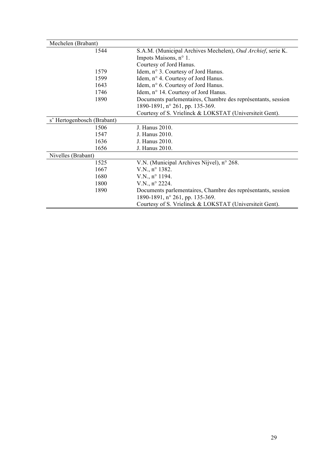| Mechelen (Brabant)         |                                                              |
|----------------------------|--------------------------------------------------------------|
| 1544                       | S.A.M. (Municipal Archives Mechelen), Oud Archief, serie K.  |
|                            | Impots Maisons, n° 1.                                        |
|                            | Courtesy of Jord Hanus.                                      |
| 1579                       | Idem, n° 3. Courtesy of Jord Hanus.                          |
| 1599                       | Idem, n° 4. Courtesy of Jord Hanus.                          |
| 1643                       | Idem, n° 6. Courtesy of Jord Hanus.                          |
| 1746                       | Idem, n° 14. Courtesy of Jord Hanus.                         |
| 1890                       | Documents parlementaires, Chambre des représentants, session |
|                            | 1890-1891, n° 261, pp. 135-369.                              |
|                            | Courtesy of S. Vrielinck & LOKSTAT (Universiteit Gent).      |
| s' Hertogenbosch (Brabant) |                                                              |
| 1506                       | J. Hanus 2010.                                               |
| 1547                       | J. Hanus 2010.                                               |
| 1636                       | J. Hanus 2010.                                               |
| 1656                       | J. Hanus 2010.                                               |
| Nivelles (Brabant)         |                                                              |
| 1525                       | V.N. (Municipal Archives Nijvel), n° 268.                    |
| 1667                       | $V.N., n^{\circ} 1382.$                                      |
| 1680                       | $V.N., n^{\circ} 1194.$                                      |
| 1800                       | V.N., n° 2224.                                               |
| 1890                       | Documents parlementaires, Chambre des représentants, session |
|                            | 1890-1891, n° 261, pp. 135-369.                              |
|                            | Courtesy of S. Vrielinck & LOKSTAT (Universiteit Gent).      |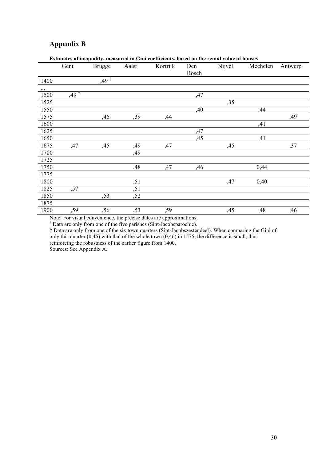# **Appendix B**

|          | Gent               | <b>Brugge</b>                          | Aalst | Kortrijk | Den<br>Bosch | Nijvel | Mechelen | Antwerp |
|----------|--------------------|----------------------------------------|-------|----------|--------------|--------|----------|---------|
| 1400     |                    | $,49$ <sup><math>\ddagger</math></sup> |       |          |              |        |          |         |
| $\cdots$ |                    |                                        |       |          |              |        |          |         |
| 1500     | $,49$ <sup>†</sup> |                                        |       |          | ,47          |        |          |         |
| 1525     |                    |                                        |       |          |              | ,35    |          |         |
| 1550     |                    |                                        |       |          | ,40          |        | ,44      |         |
| 1575     |                    | ,46                                    | ,39   | ,44      |              |        |          | ,49     |
| 1600     |                    |                                        |       |          |              |        | ,41      |         |
| 1625     |                    |                                        |       |          | ,47          |        |          |         |
| 1650     |                    |                                        |       |          | ,45          |        | ,41      |         |
| 1675     | ,47                | ,45                                    | ,49   | ,47      |              | ,45    |          | ,37     |
| 1700     |                    |                                        | ,49   |          |              |        |          |         |
| 1725     |                    |                                        |       |          |              |        |          |         |
| 1750     |                    |                                        | ,48   | ,47      | ,46          |        | 0,44     |         |
| 1775     |                    |                                        |       |          |              |        |          |         |
| 1800     |                    |                                        | ,51   |          |              | ,47    | 0,40     |         |
| 1825     | ,57                |                                        | ,51   |          |              |        |          |         |
| 1850     |                    | ,53                                    | ,52   |          |              |        |          |         |
| 1875     |                    |                                        |       |          |              |        |          |         |
| 1900     | ,59                | ,56                                    | ,53   | ,59      |              | ,45    | ,48      | ,46     |

### **Estimates of inequality, measured in Gini coefficients, based on the rental value of houses**

Note: For visual convenience, the precise dates are approximations.

† Data are only from one of the five parishes (Sint-Jacobsparochie).

‡ Data are only from one of the six town quarters (Sint-Jacobszestendeel). When comparing the Gini of only this quarter (0,45) with that of the whole town (0,46) in 1575, the difference is small, thus reinforcing the robustness of the earlier figure from 1400.

Sources: See Appendix A.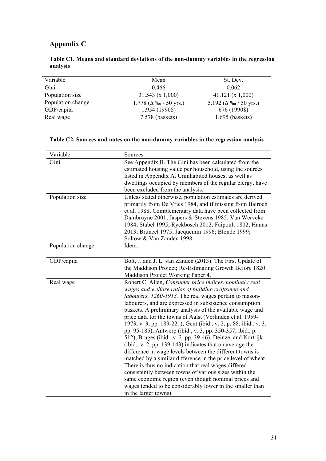# **Appendix C**

| Variable          | Mean                            | St. Dev.                      |
|-------------------|---------------------------------|-------------------------------|
| Gini              | 0.466                           | 0.062                         |
| Population size   | 31.543(x1,000)                  | 41.121(x1,000)                |
| Population change | $1.778$ ( $\Delta\%$ / 50 yrs.) | 5.192 ( $\Delta\%$ / 50 yrs.) |
| GDP/capita        | 1,954 (1990\$)                  | 676 (1990\$)                  |
| Real wage         | 7.578 (baskets)                 | $1.695$ (baskets)             |

## **Table C1. Means and standard deviations of the non-dummy variables in the regression analysis**

# **Table C2. Sources and notes on the non-dummy variables in the regression analysis**

| Variable          | Sources                                                                                                                                                                                                                                                                                                                                                                                                                                                                                                                                                                                                                                                                                                                                                                                                                                                                                                                                                                                                              |
|-------------------|----------------------------------------------------------------------------------------------------------------------------------------------------------------------------------------------------------------------------------------------------------------------------------------------------------------------------------------------------------------------------------------------------------------------------------------------------------------------------------------------------------------------------------------------------------------------------------------------------------------------------------------------------------------------------------------------------------------------------------------------------------------------------------------------------------------------------------------------------------------------------------------------------------------------------------------------------------------------------------------------------------------------|
| Gini              | See Appendix B. The Gini has been calculated from the<br>estimated housing value per household, using the sources<br>listed in Appendix A. Uninhabited houses, as well as<br>dwellings occupied by members of the regular clergy, have<br>been excluded from the analysis.                                                                                                                                                                                                                                                                                                                                                                                                                                                                                                                                                                                                                                                                                                                                           |
| Population size   | Unless stated otherwise, population estimates are derived<br>primarily from De Vries 1984, and if missing from Bairoch<br>et al. 1988. Complementary data have been collected from<br>Dambruyne 2001; Jaspers & Stevens 1985; Van Werveke<br>1984; Stabel 1995; Ryckbosch 2012; Faipoult 1802; Hanus<br>2013; Bruneel 1975; Jacquemin 1996; Blondé 1999;<br>Soltow & Van Zanden 1998.                                                                                                                                                                                                                                                                                                                                                                                                                                                                                                                                                                                                                                |
| Population change | Idem.                                                                                                                                                                                                                                                                                                                                                                                                                                                                                                                                                                                                                                                                                                                                                                                                                                                                                                                                                                                                                |
| GDP/capita        | Bolt, J. and J. L. van Zanden (2013). The First Update of<br>the Maddison Project; Re-Estimating Growth Before 1820.<br>Maddison Project Working Paper 4.                                                                                                                                                                                                                                                                                                                                                                                                                                                                                                                                                                                                                                                                                                                                                                                                                                                            |
| Real wage         | Robert C. Allen, Consumer price indices, nominal / real<br>wages and welfare ratios of building craftsmen and<br>labourers, 1260-1913. The real wages pertain to mason-<br>labourers, and are expressed in subsistence consumption<br>baskets. A preliminary analysis of the available wage and<br>price data for the towns of Aalst (Verlinden et al. 1959-<br>1973, v. 3, pp. 189-221), Gent (ibid., v. 2, p. 88; ibid., v. 3,<br>pp. 95-185), Antwerp (ibid., v. 3, pp. 350-357; ibid., p.<br>512), Bruges (ibid., v. 2, pp. 39-46), Deinze, and Kortrijk<br>(ibid., v. 2, pp. 139-143) indicates that on average the<br>difference in wage levels between the different towns is<br>matched by a similar difference in the price level of wheat.<br>There is thus no indication that real wages differed<br>consistently between towns of various sizes within the<br>same economic region (even though nominal prices and<br>wages tended to be considerably lower in the smaller than<br>in the larger towns). |